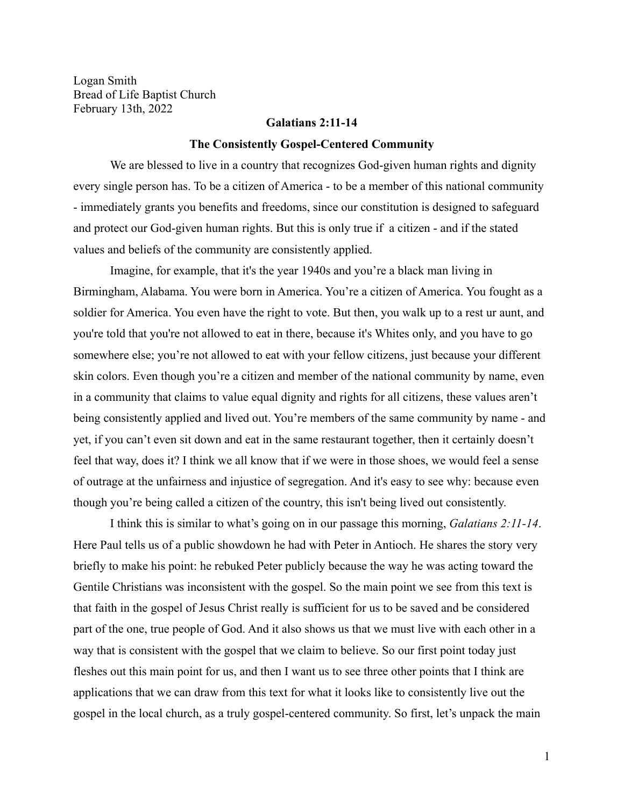Logan Smith Bread of Life Baptist Church February 13th, 2022

## **Galatians 2:11-14**

#### **The Consistently Gospel-Centered Community**

We are blessed to live in a country that recognizes God-given human rights and dignity every single person has. To be a citizen of America - to be a member of this national community - immediately grants you benefits and freedoms, since our constitution is designed to safeguard and protect our God-given human rights. But this is only true if a citizen - and if the stated values and beliefs of the community are consistently applied.

Imagine, for example, that it's the year 1940s and you're a black man living in Birmingham, Alabama. You were born in America. You're a citizen of America. You fought as a soldier for America. You even have the right to vote. But then, you walk up to a rest ur aunt, and you're told that you're not allowed to eat in there, because it's Whites only, and you have to go somewhere else; you're not allowed to eat with your fellow citizens, just because your different skin colors. Even though you're a citizen and member of the national community by name, even in a community that claims to value equal dignity and rights for all citizens, these values aren't being consistently applied and lived out. You're members of the same community by name - and yet, if you can't even sit down and eat in the same restaurant together, then it certainly doesn't feel that way, does it? I think we all know that if we were in those shoes, we would feel a sense of outrage at the unfairness and injustice of segregation. And it's easy to see why: because even though you're being called a citizen of the country, this isn't being lived out consistently.

I think this is similar to what's going on in our passage this morning, *Galatians 2:11-14*. Here Paul tells us of a public showdown he had with Peter in Antioch. He shares the story very briefly to make his point: he rebuked Peter publicly because the way he was acting toward the Gentile Christians was inconsistent with the gospel. So the main point we see from this text is that faith in the gospel of Jesus Christ really is sufficient for us to be saved and be considered part of the one, true people of God. And it also shows us that we must live with each other in a way that is consistent with the gospel that we claim to believe. So our first point today just fleshes out this main point for us, and then I want us to see three other points that I think are applications that we can draw from this text for what it looks like to consistently live out the gospel in the local church, as a truly gospel-centered community. So first, let's unpack the main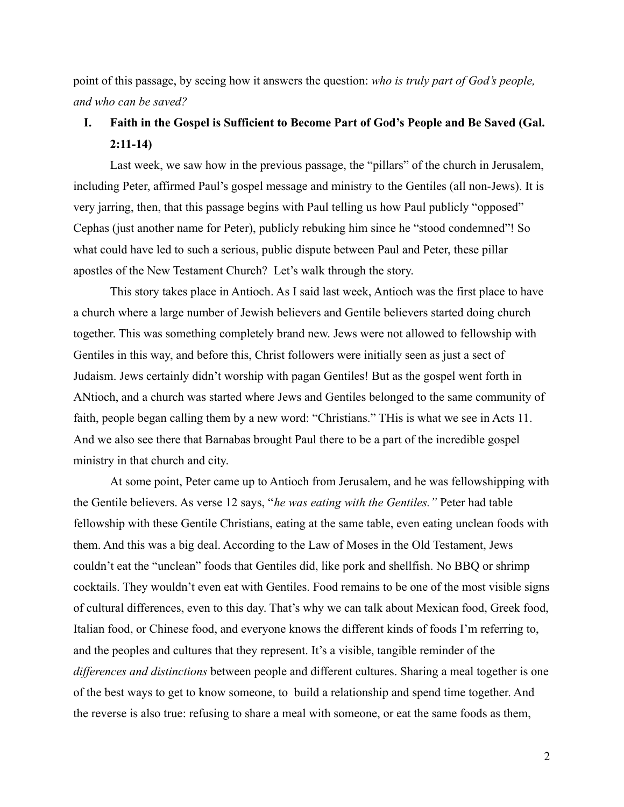point of this passage, by seeing how it answers the question: *who is truly part of God's people, and who can be saved?*

# **I. Faith in the Gospel is Sufficient to Become Part of God's People and Be Saved (Gal. 2:11-14)**

Last week, we saw how in the previous passage, the "pillars" of the church in Jerusalem, including Peter, affirmed Paul's gospel message and ministry to the Gentiles (all non-Jews). It is very jarring, then, that this passage begins with Paul telling us how Paul publicly "opposed" Cephas (just another name for Peter), publicly rebuking him since he "stood condemned"! So what could have led to such a serious, public dispute between Paul and Peter, these pillar apostles of the New Testament Church? Let's walk through the story.

This story takes place in Antioch. As I said last week, Antioch was the first place to have a church where a large number of Jewish believers and Gentile believers started doing church together. This was something completely brand new. Jews were not allowed to fellowship with Gentiles in this way, and before this, Christ followers were initially seen as just a sect of Judaism. Jews certainly didn't worship with pagan Gentiles! But as the gospel went forth in ANtioch, and a church was started where Jews and Gentiles belonged to the same community of faith, people began calling them by a new word: "Christians." THis is what we see in Acts 11. And we also see there that Barnabas brought Paul there to be a part of the incredible gospel ministry in that church and city.

At some point, Peter came up to Antioch from Jerusalem, and he was fellowshipping with the Gentile believers. As verse 12 says, "*he was eating with the Gentiles."* Peter had table fellowship with these Gentile Christians, eating at the same table, even eating unclean foods with them. And this was a big deal. According to the Law of Moses in the Old Testament, Jews couldn't eat the "unclean" foods that Gentiles did, like pork and shellfish. No BBQ or shrimp cocktails. They wouldn't even eat with Gentiles. Food remains to be one of the most visible signs of cultural differences, even to this day. That's why we can talk about Mexican food, Greek food, Italian food, or Chinese food, and everyone knows the different kinds of foods I'm referring to, and the peoples and cultures that they represent. It's a visible, tangible reminder of the *differences and distinctions* between people and different cultures. Sharing a meal together is one of the best ways to get to know someone, to build a relationship and spend time together. And the reverse is also true: refusing to share a meal with someone, or eat the same foods as them,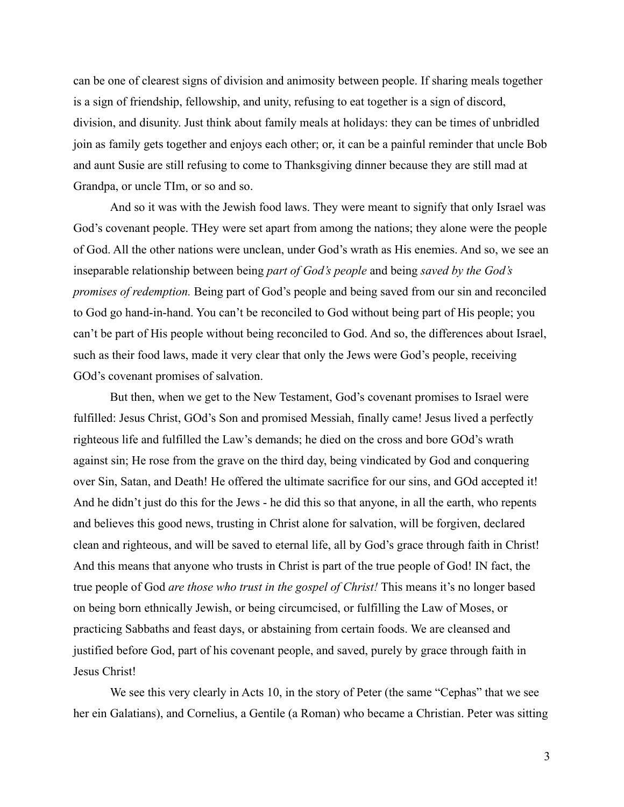can be one of clearest signs of division and animosity between people. If sharing meals together is a sign of friendship, fellowship, and unity, refusing to eat together is a sign of discord, division, and disunity. Just think about family meals at holidays: they can be times of unbridled join as family gets together and enjoys each other; or, it can be a painful reminder that uncle Bob and aunt Susie are still refusing to come to Thanksgiving dinner because they are still mad at Grandpa, or uncle TIm, or so and so.

And so it was with the Jewish food laws. They were meant to signify that only Israel was God's covenant people. THey were set apart from among the nations; they alone were the people of God. All the other nations were unclean, under God's wrath as His enemies. And so, we see an inseparable relationship between being *part of God's people* and being *saved by the God's promises of redemption.* Being part of God's people and being saved from our sin and reconciled to God go hand-in-hand. You can't be reconciled to God without being part of His people; you can't be part of His people without being reconciled to God. And so, the differences about Israel, such as their food laws, made it very clear that only the Jews were God's people, receiving GOd's covenant promises of salvation.

But then, when we get to the New Testament, God's covenant promises to Israel were fulfilled: Jesus Christ, GOd's Son and promised Messiah, finally came! Jesus lived a perfectly righteous life and fulfilled the Law's demands; he died on the cross and bore GOd's wrath against sin; He rose from the grave on the third day, being vindicated by God and conquering over Sin, Satan, and Death! He offered the ultimate sacrifice for our sins, and GOd accepted it! And he didn't just do this for the Jews - he did this so that anyone, in all the earth, who repents and believes this good news, trusting in Christ alone for salvation, will be forgiven, declared clean and righteous, and will be saved to eternal life, all by God's grace through faith in Christ! And this means that anyone who trusts in Christ is part of the true people of God! IN fact, the true people of God *are those who trust in the gospel of Christ!* This means it's no longer based on being born ethnically Jewish, or being circumcised, or fulfilling the Law of Moses, or practicing Sabbaths and feast days, or abstaining from certain foods. We are cleansed and justified before God, part of his covenant people, and saved, purely by grace through faith in Jesus Christ!

We see this very clearly in Acts 10, in the story of Peter (the same "Cephas" that we see her ein Galatians), and Cornelius, a Gentile (a Roman) who became a Christian. Peter was sitting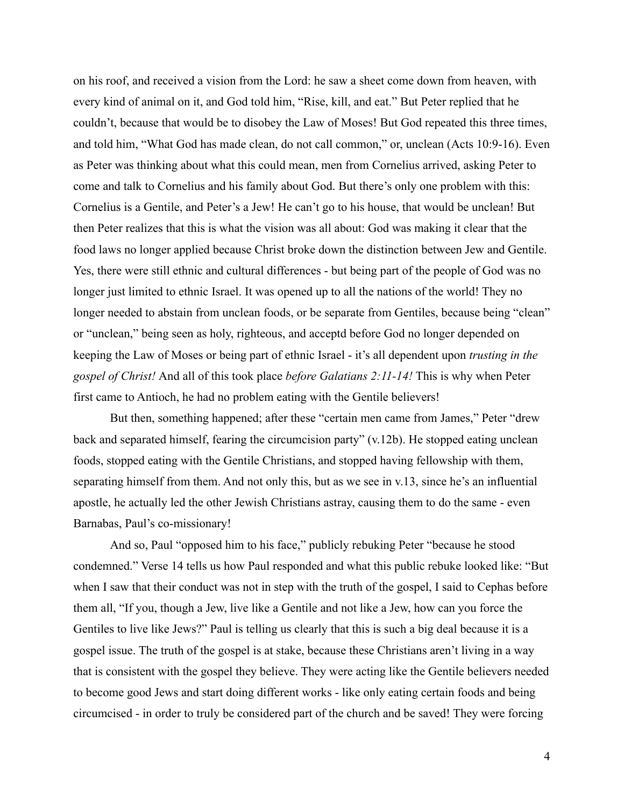on his roof, and received a vision from the Lord: he saw a sheet come down from heaven, with every kind of animal on it, and God told him, "Rise, kill, and eat." But Peter replied that he couldn't, because that would be to disobey the Law of Moses! But God repeated this three times, and told him, "What God has made clean, do not call common," or, unclean (Acts 10:9-16). Even as Peter was thinking about what this could mean, men from Cornelius arrived, asking Peter to come and talk to Cornelius and his family about God. But there's only one problem with this: Cornelius is a Gentile, and Peter's a Jew! He can't go to his house, that would be unclean! But then Peter realizes that this is what the vision was all about: God was making it clear that the food laws no longer applied because Christ broke down the distinction between Jew and Gentile. Yes, there were still ethnic and cultural differences - but being part of the people of God was no longer just limited to ethnic Israel. It was opened up to all the nations of the world! They no longer needed to abstain from unclean foods, or be separate from Gentiles, because being "clean" or "unclean," being seen as holy, righteous, and acceptd before God no longer depended on keeping the Law of Moses or being part of ethnic Israel - it's all dependent upon *trusting in the gospel of Christ!* And all of this took place *before Galatians 2:11-14!* This is why when Peter first came to Antioch, he had no problem eating with the Gentile believers!

But then, something happened; after these "certain men came from James," Peter "drew back and separated himself, fearing the circumcision party" (v.12b). He stopped eating unclean foods, stopped eating with the Gentile Christians, and stopped having fellowship with them, separating himself from them. And not only this, but as we see in v.13, since he's an influential apostle, he actually led the other Jewish Christians astray, causing them to do the same - even Barnabas, Paul's co-missionary!

And so, Paul "opposed him to his face," publicly rebuking Peter "because he stood condemned." Verse 14 tells us how Paul responded and what this public rebuke looked like: "But when I saw that their conduct was not in step with the truth of the gospel, I said to Cephas before them all, "If you, though a Jew, live like a Gentile and not like a Jew, how can you force the Gentiles to live like Jews?" Paul is telling us clearly that this is such a big deal because it is a gospel issue. The truth of the gospel is at stake, because these Christians aren't living in a way that is consistent with the gospel they believe. They were acting like the Gentile believers needed to become good Jews and start doing different works - like only eating certain foods and being circumcised - in order to truly be considered part of the church and be saved! They were forcing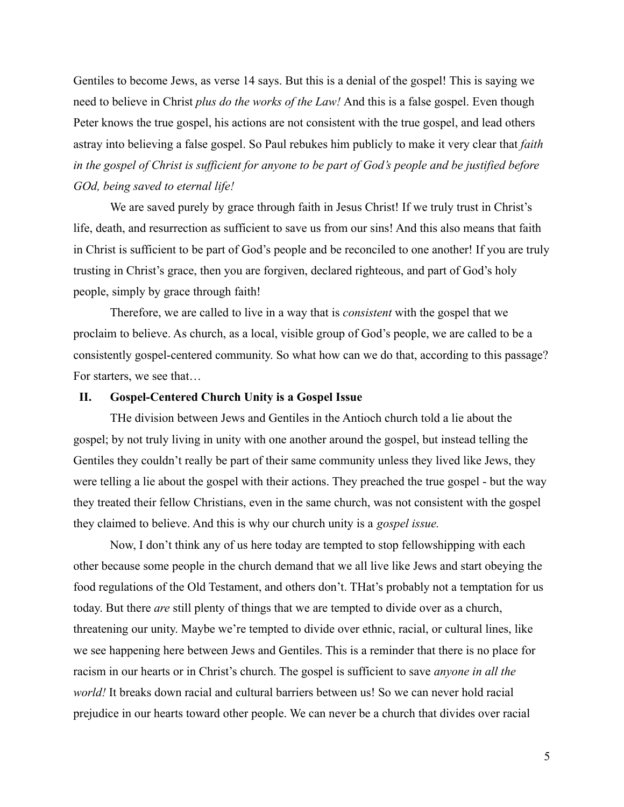Gentiles to become Jews, as verse 14 says. But this is a denial of the gospel! This is saying we need to believe in Christ *plus do the works of the Law!* And this is a false gospel. Even though Peter knows the true gospel, his actions are not consistent with the true gospel, and lead others astray into believing a false gospel. So Paul rebukes him publicly to make it very clear that *faith in the gospel of Christ is sufficient for anyone to be part of God's people and be justified before GOd, being saved to eternal life!*

We are saved purely by grace through faith in Jesus Christ! If we truly trust in Christ's life, death, and resurrection as sufficient to save us from our sins! And this also means that faith in Christ is sufficient to be part of God's people and be reconciled to one another! If you are truly trusting in Christ's grace, then you are forgiven, declared righteous, and part of God's holy people, simply by grace through faith!

Therefore, we are called to live in a way that is *consistent* with the gospel that we proclaim to believe. As church, as a local, visible group of God's people, we are called to be a consistently gospel-centered community. So what how can we do that, according to this passage? For starters, we see that…

### **II. Gospel-Centered Church Unity is a Gospel Issue**

THe division between Jews and Gentiles in the Antioch church told a lie about the gospel; by not truly living in unity with one another around the gospel, but instead telling the Gentiles they couldn't really be part of their same community unless they lived like Jews, they were telling a lie about the gospel with their actions. They preached the true gospel - but the way they treated their fellow Christians, even in the same church, was not consistent with the gospel they claimed to believe. And this is why our church unity is a *gospel issue.*

Now, I don't think any of us here today are tempted to stop fellowshipping with each other because some people in the church demand that we all live like Jews and start obeying the food regulations of the Old Testament, and others don't. THat's probably not a temptation for us today. But there *are* still plenty of things that we are tempted to divide over as a church, threatening our unity. Maybe we're tempted to divide over ethnic, racial, or cultural lines, like we see happening here between Jews and Gentiles. This is a reminder that there is no place for racism in our hearts or in Christ's church. The gospel is sufficient to save *anyone in all the world!* It breaks down racial and cultural barriers between us! So we can never hold racial prejudice in our hearts toward other people. We can never be a church that divides over racial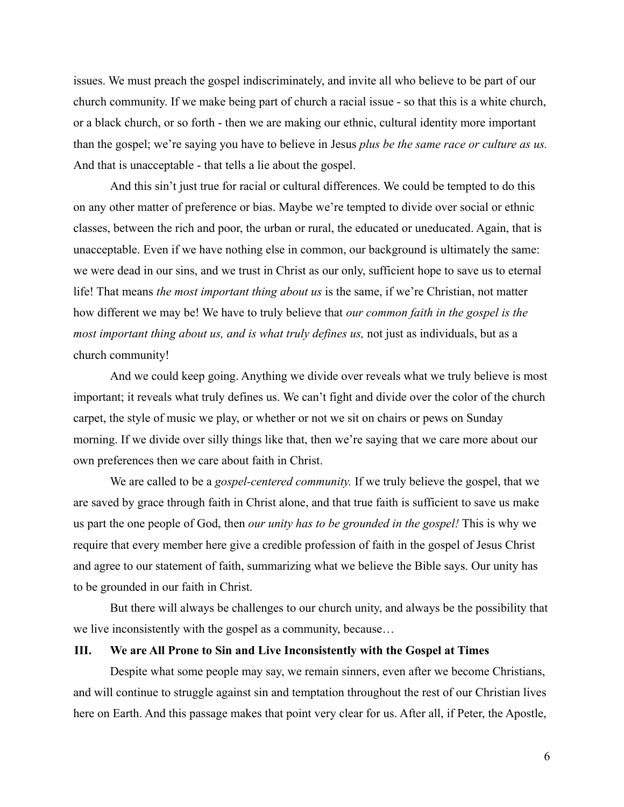issues. We must preach the gospel indiscriminately, and invite all who believe to be part of our church community. If we make being part of church a racial issue - so that this is a white church, or a black church, or so forth - then we are making our ethnic, cultural identity more important than the gospel; we're saying you have to believe in Jesus *plus be the same race or culture as us.* And that is unacceptable - that tells a lie about the gospel.

And this sin't just true for racial or cultural differences. We could be tempted to do this on any other matter of preference or bias. Maybe we're tempted to divide over social or ethnic classes, between the rich and poor, the urban or rural, the educated or uneducated. Again, that is unacceptable. Even if we have nothing else in common, our background is ultimately the same: we were dead in our sins, and we trust in Christ as our only, sufficient hope to save us to eternal life! That means *the most important thing about us* is the same, if we're Christian, not matter how different we may be! We have to truly believe that *our common faith in the gospel is the most important thing about us, and is what truly defines us,* not just as individuals, but as a church community!

And we could keep going. Anything we divide over reveals what we truly believe is most important; it reveals what truly defines us. We can't fight and divide over the color of the church carpet, the style of music we play, or whether or not we sit on chairs or pews on Sunday morning. If we divide over silly things like that, then we're saying that we care more about our own preferences then we care about faith in Christ.

We are called to be a *gospel-centered community.* If we truly believe the gospel, that we are saved by grace through faith in Christ alone, and that true faith is sufficient to save us make us part the one people of God, then *our unity has to be grounded in the gospel!* This is why we require that every member here give a credible profession of faith in the gospel of Jesus Christ and agree to our statement of faith, summarizing what we believe the Bible says. Our unity has to be grounded in our faith in Christ.

But there will always be challenges to our church unity, and always be the possibility that we live inconsistently with the gospel as a community, because…

## **III. We are All Prone to Sin and Live Inconsistently with the Gospel at Times**

Despite what some people may say, we remain sinners, even after we become Christians, and will continue to struggle against sin and temptation throughout the rest of our Christian lives here on Earth. And this passage makes that point very clear for us. After all, if Peter, the Apostle,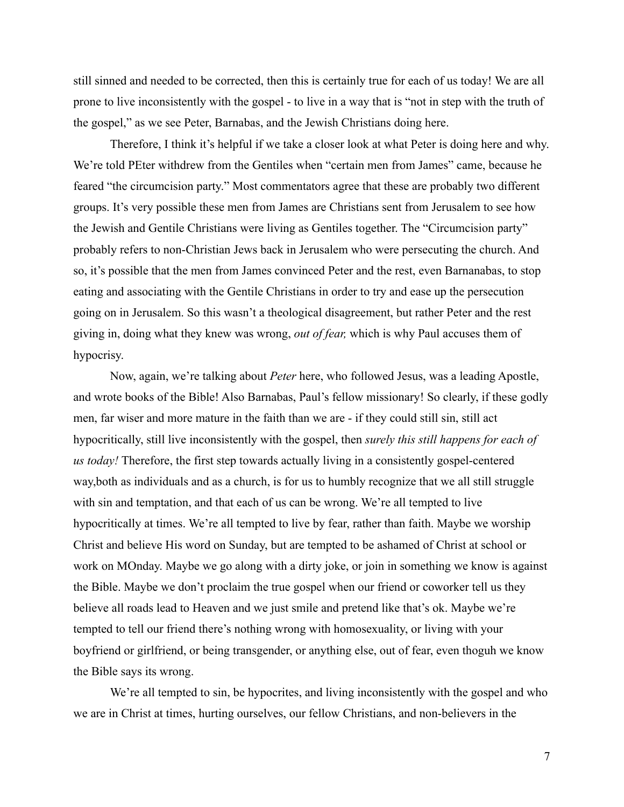still sinned and needed to be corrected, then this is certainly true for each of us today! We are all prone to live inconsistently with the gospel - to live in a way that is "not in step with the truth of the gospel," as we see Peter, Barnabas, and the Jewish Christians doing here.

Therefore, I think it's helpful if we take a closer look at what Peter is doing here and why. We're told PEter withdrew from the Gentiles when "certain men from James" came, because he feared "the circumcision party." Most commentators agree that these are probably two different groups. It's very possible these men from James are Christians sent from Jerusalem to see how the Jewish and Gentile Christians were living as Gentiles together. The "Circumcision party" probably refers to non-Christian Jews back in Jerusalem who were persecuting the church. And so, it's possible that the men from James convinced Peter and the rest, even Barnanabas, to stop eating and associating with the Gentile Christians in order to try and ease up the persecution going on in Jerusalem. So this wasn't a theological disagreement, but rather Peter and the rest giving in, doing what they knew was wrong, *out of fear,* which is why Paul accuses them of hypocrisy.

Now, again, we're talking about *Peter* here, who followed Jesus, was a leading Apostle, and wrote books of the Bible! Also Barnabas, Paul's fellow missionary! So clearly, if these godly men, far wiser and more mature in the faith than we are - if they could still sin, still act hypocritically, still live inconsistently with the gospel, then *surely this still happens for each of us today!* Therefore, the first step towards actually living in a consistently gospel-centered way,both as individuals and as a church, is for us to humbly recognize that we all still struggle with sin and temptation, and that each of us can be wrong. We're all tempted to live hypocritically at times. We're all tempted to live by fear, rather than faith. Maybe we worship Christ and believe His word on Sunday, but are tempted to be ashamed of Christ at school or work on MOnday. Maybe we go along with a dirty joke, or join in something we know is against the Bible. Maybe we don't proclaim the true gospel when our friend or coworker tell us they believe all roads lead to Heaven and we just smile and pretend like that's ok. Maybe we're tempted to tell our friend there's nothing wrong with homosexuality, or living with your boyfriend or girlfriend, or being transgender, or anything else, out of fear, even thoguh we know the Bible says its wrong.

We're all tempted to sin, be hypocrites, and living inconsistently with the gospel and who we are in Christ at times, hurting ourselves, our fellow Christians, and non-believers in the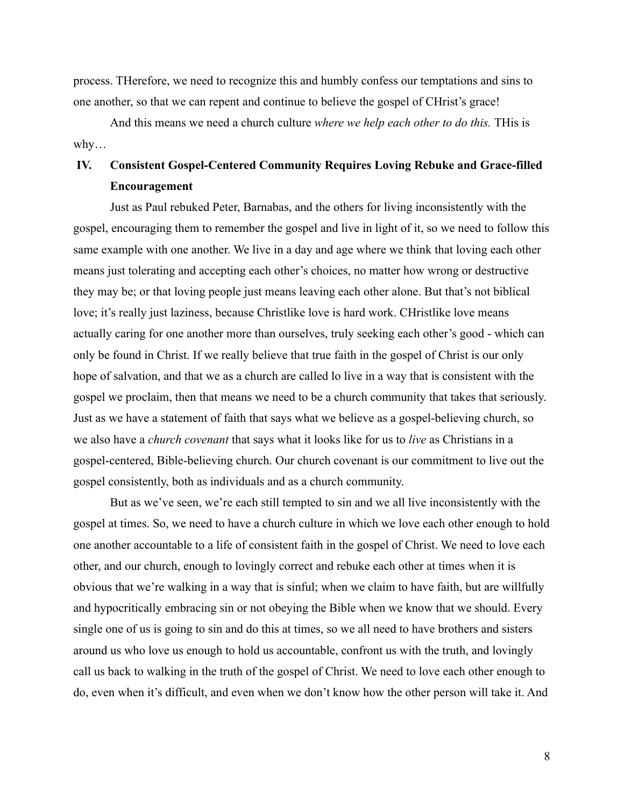process. THerefore, we need to recognize this and humbly confess our temptations and sins to one another, so that we can repent and continue to believe the gospel of CHrist's grace!

And this means we need a church culture *where we help each other to do this.* THis is why…

# **IV. Consistent Gospel-Centered Community Requires Loving Rebuke and Grace-filled Encouragement**

Just as Paul rebuked Peter, Barnabas, and the others for living inconsistently with the gospel, encouraging them to remember the gospel and live in light of it, so we need to follow this same example with one another. We live in a day and age where we think that loving each other means just tolerating and accepting each other's choices, no matter how wrong or destructive they may be; or that loving people just means leaving each other alone. But that's not biblical love; it's really just laziness, because Christlike love is hard work. CHristlike love means actually caring for one another more than ourselves, truly seeking each other's good - which can only be found in Christ. If we really believe that true faith in the gospel of Christ is our only hope of salvation, and that we as a church are called lo live in a way that is consistent with the gospel we proclaim, then that means we need to be a church community that takes that seriously. Just as we have a statement of faith that says what we believe as a gospel-believing church, so we also have a *church covenant* that says what it looks like for us to *live* as Christians in a gospel-centered, Bible-believing church. Our church covenant is our commitment to live out the gospel consistently, both as individuals and as a church community.

But as we've seen, we're each still tempted to sin and we all live inconsistently with the gospel at times. So, we need to have a church culture in which we love each other enough to hold one another accountable to a life of consistent faith in the gospel of Christ. We need to love each other, and our church, enough to lovingly correct and rebuke each other at times when it is obvious that we're walking in a way that is sinful; when we claim to have faith, but are willfully and hypocritically embracing sin or not obeying the Bible when we know that we should. Every single one of us is going to sin and do this at times, so we all need to have brothers and sisters around us who love us enough to hold us accountable, confront us with the truth, and lovingly call us back to walking in the truth of the gospel of Christ. We need to love each other enough to do, even when it's difficult, and even when we don't know how the other person will take it. And